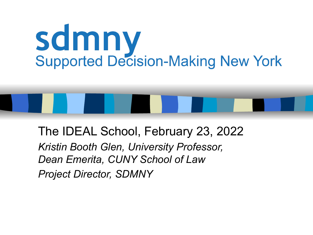# **Scimny**<br>Supported Decision-Making New York

The IDEAL School, February 23, 2022 *Kristin Booth Glen, University Professor, Dean Emerita, CUNY School of Law Project Director, SDMNY*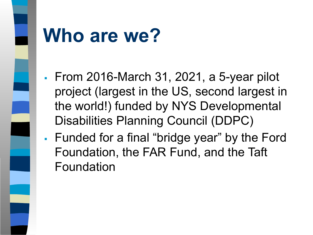

#### **Who are we?**

- From 2016-March 31, 2021, a 5-year pilot project (largest in the US, second largest in the world!) funded by NYS Developmental Disabilities Planning Council (DDPC)
- Funded for a final "bridge year" by the Ford Foundation, the FAR Fund, and the Taft Foundation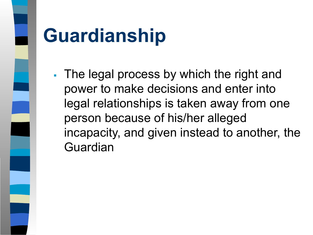

#### **Guardianship**

The legal process by which the right and power to make decisions and enter into legal relationships is taken away from one person because of his/her alleged incapacity, and given instead to another, the Guardian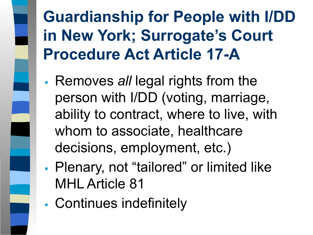#### **Guardianship for People with I/DD in New York; Surrogate's Court Procedure Act Article 17-A**

- Removes *all* legal rights from the person with I/DD (voting, marriage, ability to contract, where to live, with whom to associate, healthcare decisions, employment, etc.)
- Plenary, not "tailored" or limited like MHL Article 81
- Continues indefinitely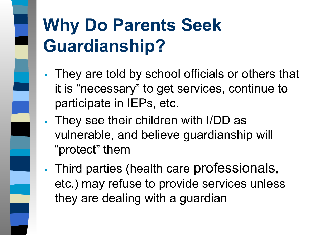#### **Why Do Parents Seek Guardianship?**

- They are told by school officials or others that it is "necessary" to get services, continue to participate in IEPs, etc.
- They see their children with I/DD as vulnerable, and believe guardianship will "protect" them
- Third parties (health care professionals, etc.) may refuse to provide services unless they are dealing with a guardian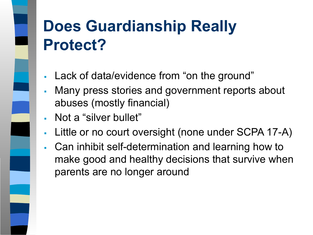#### **Does Guardianship Really Protect?**

- Lack of data/evidence from "on the ground"
- Many press stories and government reports about abuses (mostly financial)
- Not a "silver bullet"
- Little or no court oversight (none under SCPA 17-A)
- Can inhibit self-determination and learning how to make good and healthy decisions that survive when parents are no longer around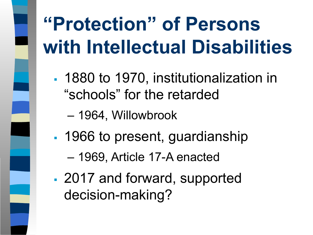#### **"Protection" of Persons with Intellectual Disabilities**

- **1880 to 1970, institutionalization in** "schools" for the retarded
	- 1964, Willowbrook
- 1966 to present, guardianship
	- 1969, Article 17-A enacted
- 2017 and forward, supported decision-making?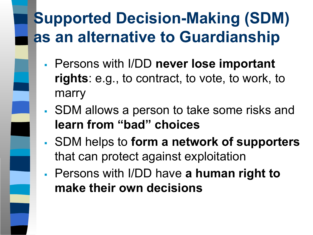#### **Supported Decision-Making (SDM) as an alternative to Guardianship**

- Persons with I/DD **never lose important rights**: e.g., to contract, to vote, to work, to marry
- SDM allows a person to take some risks and **learn from "bad" choices**
- SDM helps to **form a network of supporters**  that can protect against exploitation
- Persons with I/DD have **a human right to make their own decisions**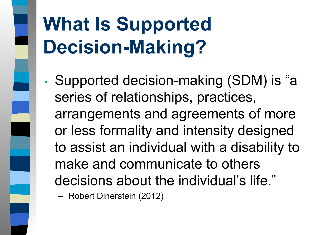### **What Is Supported Decision-Making?**

▪ Supported decision-making (SDM) is "a series of relationships, practices, arrangements and agreements of more or less formality and intensity designed to assist an individual with a disability to make and communicate to others decisions about the individual's life."

– Robert Dinerstein (2012)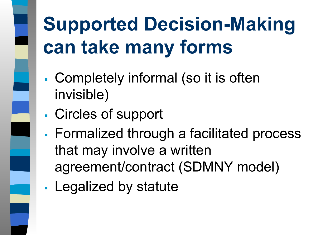### **Supported Decision-Making can take many forms**

- Completely informal (so it is often invisible)
- Circles of support
- Formalized through a facilitated process that may involve a written agreement/contract (SDMNY model)
- Legalized by statute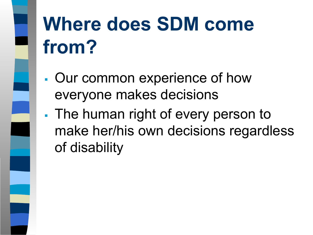### **Where does SDM come from?**

- Our common experience of how everyone makes decisions
- **The human right of every person to** make her/his own decisions regardless of disability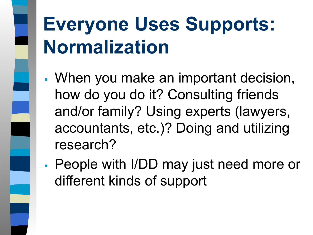#### **Everyone Uses Supports: Normalization**

- When you make an important decision, how do you do it? Consulting friends and/or family? Using experts (lawyers, accountants, etc.)? Doing and utilizing research?
- People with I/DD may just need more or different kinds of support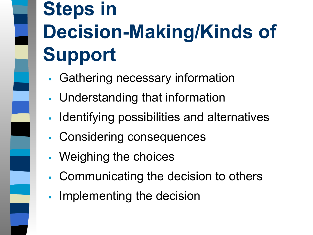#### **Steps in Decision-Making/Kinds of Support**

- Gathering necessary information
- **Understanding that information**
- Identifying possibilities and alternatives
- Considering consequences
- Weighing the choices
- Communicating the decision to others
- **EXE** Implementing the decision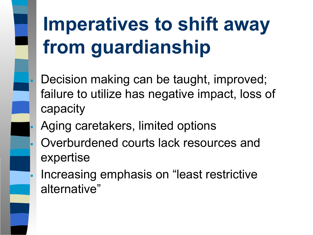#### **Imperatives to shift away from guardianship**

- Decision making can be taught, improved; failure to utilize has negative impact, loss of capacity
- Aging caretakers, limited options
- Overburdened courts lack resources and expertise
- Increasing emphasis on "least restrictive" alternative"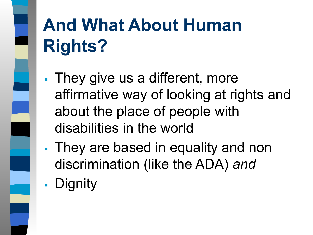#### **And What About Human Rights?**

- They give us a different, more affirmative way of looking at rights and about the place of people with disabilities in the world
- **They are based in equality and non** discrimination (like the ADA) *and*
- **Dignity**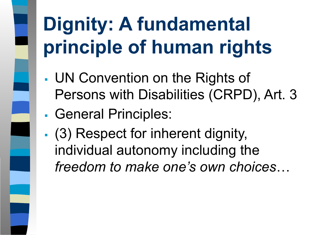### **Dignity: A fundamental principle of human rights**

- UN Convention on the Rights of Persons with Disabilities (CRPD), Art. 3
- General Principles:
- (3) Respect for inherent dignity, individual autonomy including the *freedom to make one's own choices*…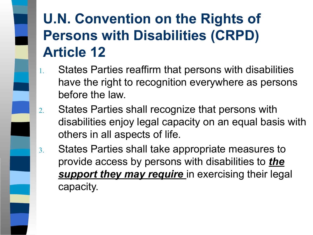#### **U.N. Convention on the Rights of Persons with Disabilities (CRPD) Article 12**

- 1. States Parties reaffirm that persons with disabilities have the right to recognition everywhere as persons before the law.
- 2. States Parties shall recognize that persons with disabilities enjoy legal capacity on an equal basis with others in all aspects of life.
- 3. States Parties shall take appropriate measures to provide access by persons with disabilities to *the* **support they may require** in exercising their legal capacity.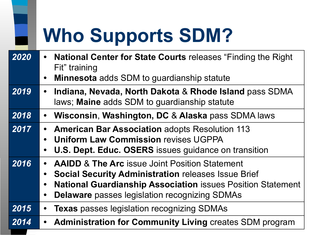#### **Who Supports SDM?**

| 2020 | <b>National Center for State Courts releases "Finding the Right</b><br>Fit" training<br><b>Minnesota</b> adds SDM to guardianship statute                                                                                                                          |
|------|--------------------------------------------------------------------------------------------------------------------------------------------------------------------------------------------------------------------------------------------------------------------|
| 2019 | Indiana, Nevada, North Dakota & Rhode Island pass SDMA<br>$\bullet$<br>laws; Maine adds SDM to guardianship statute                                                                                                                                                |
| 2018 | Wisconsin, Washington, DC & Alaska pass SDMA laws<br>$\bullet$                                                                                                                                                                                                     |
| 2017 | <b>American Bar Association adopts Resolution 113</b><br>$\bullet$<br><b>Uniform Law Commission revises UGPPA</b><br><b>U.S. Dept. Educ. OSERS</b> issues guidance on transition                                                                                   |
| 2016 | <b>AAIDD &amp; The Arc issue Joint Position Statement</b><br><b>Social Security Administration releases Issue Brief</b><br><b>National Guardianship Association issues Position Statement</b><br><b>Delaware</b> passes legislation recognizing SDMAs<br>$\bullet$ |
| 2015 | <b>Texas</b> passes legislation recognizing SDMAs                                                                                                                                                                                                                  |
| 2014 | <b>Administration for Community Living creates SDM program</b><br>$\bullet$                                                                                                                                                                                        |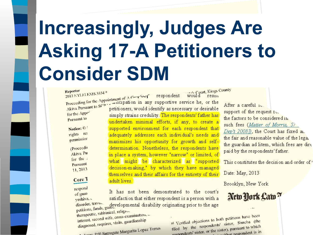#### **Increasingly, Judges Are Asking 17-A Petitioners to Consider SDM**

sately Court, Kings County Reporter Reporter<br>2013 NYLLLEXIS 3334 \* Reporter<br>2013 NYLJ LEXIS 3334 \*<br>Proceeding for the Appointment of A Guer<sup>4132</sup> respondent would Proceeding for the Appointment of A Guerdia any supportive service he, or the<br>Akiva Pursuant to SCP estimates, would identify as necessary or desirable for the Appe simply strains credulity. The respondents' father has Pursuant to undertaken minimal efforts, if any, to create a Notice: supported environment for each respondent that rights res adequately addresses each individual's needs and permission maximizes his opportunity for growth and self-(Proceedit determination. Nonetheless, the respondents have Akiva Pu in place a system, however "narrow" or limited, of for the what might be characterized as "supported Pursuant decision-making," by which they have managed 11, 2013 themselves and their affairs for the entirety of their

#### Core 1

respond of guar

It has not been demonstrated to the court's satisfaction that either respondent is a person with a yeshiva. disorder, trave.<br>disorder, trave.<br>petitions, funds, guadevelopmental disability originating prior to the age

petitions, funds, guardinal, religional<br>therapeutic, rabbinical, religional therapeutic, rabbinical, rengional<br>interest, second wife, cross-examination, interest, second wife, cross-called<br>diagnosed, requires, visits, guardianship

diagnosed, 144.<br>Margarita Lopez Torres

adult lives.

After a careful 10. support of the request to. the factors to be considered in such fees (Matter of Morris, 57) Dep't 2008]), the Court has fixed an. the fair and reasonable value of the lega. the guardian ad litem, which fees are dirt paid by the respondents' father.

This constitutes the decision and order of

Date: May, 2013

Brooklyn, New York

#### New York Law?

al Verified objections to both petitions have been al Verified objections to both petitions have a<br>filed by the respondents' sister, Simeha (the filed by the respondents' sister, since the vehicle<br>respondents' sister, or the sister), pursuant to which

 $resis<sub>t</sub>$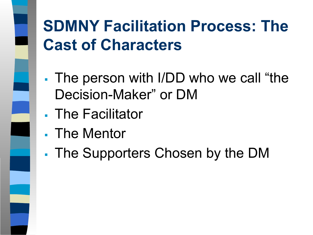#### **SDMNY Facilitation Process: The Cast of Characters**

- The person with I/DD who we call "the Decision-Maker" or DM
- **The Facilitator**
- **The Mentor**
- The Supporters Chosen by the DM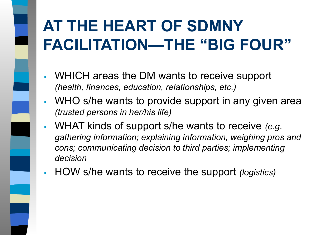#### **AT THE HEART OF SDMNY FACILITATION—THE "BIG FOUR"**

- WHICH areas the DM wants to receive support *(health, finances, education, relationships, etc.)*
- WHO s/he wants to provide support in any given area *(trusted persons in her/his life)*
- WHAT kinds of support s/he wants to receive *(e.g. gathering information; explaining information, weighing pros and cons; communicating decision to third parties; implementing decision*
- HOW s/he wants to receive the support *(logistics)*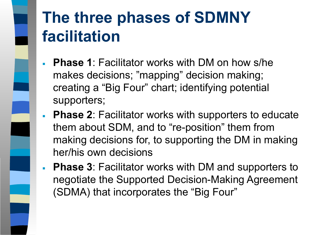## **The three phases of SDMNY facilitation**

- **Phase 1**: Facilitator works with DM on how s/he makes decisions; "mapping" decision making; creating a "Big Four" chart; identifying potential supporters;
- **Phase 2: Facilitator works with supporters to educate** them about SDM, and to "re-position" them from making decisions for, to supporting the DM in making her/his own decisions
- **Phase 3**: Facilitator works with DM and supporters to negotiate the Supported Decision-Making Agreement (SDMA) that incorporates the "Big Four"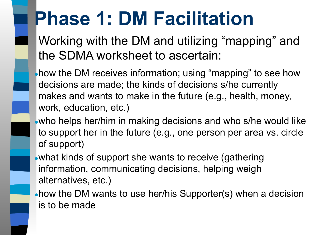#### **Phase 1: DM Facilitation**

Working with the DM and utilizing "mapping" and the SDMA worksheet to ascertain:

• how the DM receives information; using "mapping" to see how decisions are made; the kinds of decisions s/he currently makes and wants to make in the future (e.g., health, money, work, education, etc.)

• who helps her/him in making decisions and who s/he would like to support her in the future (e.g., one person per area vs. circle of support)

• what kinds of support she wants to receive (gathering information, communicating decisions, helping weigh alternatives, etc.)

• how the DM wants to use her/his Supporter(s) when a decision is to be made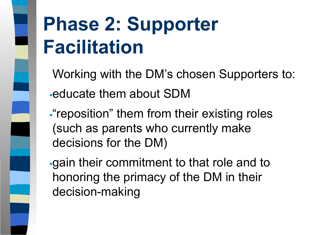#### **Phase 2: Supporter Facilitation**

Working with the DM's chosen Supporters to: **Educate them about SDM** 

**Figure 1.5 Them from their existing roles** (such as parents who currently make decisions for the DM)

▪gain their commitment to that role and to honoring the primacy of the DM in their decision-making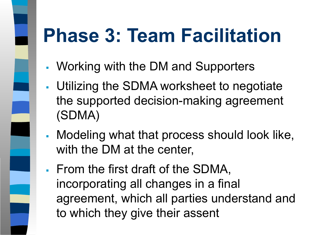#### **Phase 3: Team Facilitation**

- Working with the DM and Supporters
- **Utilizing the SDMA worksheet to negotiate** the supported decision-making agreement (SDMA)
- Modeling what that process should look like, with the DM at the center,
- From the first draft of the SDMA, incorporating all changes in a final agreement, which all parties understand and to which they give their assent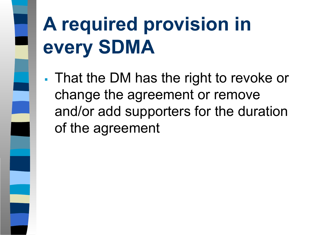### **A required provision in every SDMA**

**That the DM has the right to revoke or** change the agreement or remove and/or add supporters for the duration of the agreement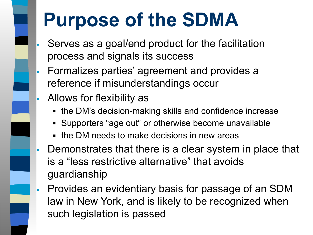#### **Purpose of the SDMA**

- Serves as a goal/end product for the facilitation process and signals its success
- Formalizes parties' agreement and provides a reference if misunderstandings occur
- Allows for flexibility as
	- the DM's decision-making skills and confidence increase
	- Supporters "age out" or otherwise become unavailable
	- the DM needs to make decisions in new areas
- **EXTE.** Demonstrates that there is a clear system in place that is a "less restrictive alternative" that avoids guardianship
- **Provides an evidentiary basis for passage of an SDM** law in New York, and is likely to be recognized when such legislation is passed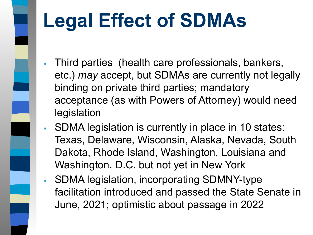

#### **Legal Effect of SDMAs**

- Third parties (health care professionals, bankers, etc.) *may* accept, but SDMAs are currently not legally binding on private third parties; mandatory acceptance (as with Powers of Attorney) would need legislation
- SDMA legislation is currently in place in 10 states: Texas, Delaware, Wisconsin, Alaska, Nevada, South Dakota, Rhode Island, Washington, Louisiana and Washington. D.C. but not yet in New York
- SDMA legislation, incorporating SDMNY-type facilitation introduced and passed the State Senate in June, 2021; optimistic about passage in 2022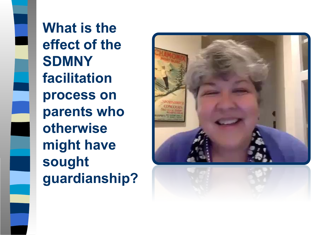**What is the effect of the SDMNY facilitation process on parents who otherwise might have sought guardianship?**

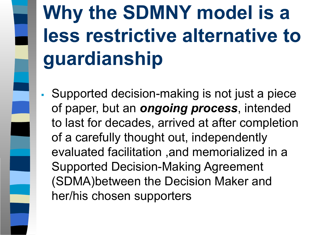#### **Why the SDMNY model is a less restrictive alternative to guardianship**

Supported decision-making is not just a piece of paper, but an *ongoing process*, intended to last for decades, arrived at after completion of a carefully thought out, independently evaluated facilitation ,and memorialized in a Supported Decision-Making Agreement (SDMA)between the Decision Maker and her/his chosen supporters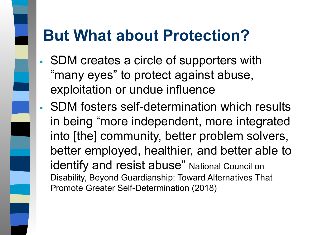#### **But What about Protection?**

- SDM creates a circle of supporters with "many eyes" to protect against abuse, exploitation or undue influence
- SDM fosters self-determination which results in being "more independent, more integrated into [the] community, better problem solvers, better employed, healthier, and better able to identify and resist abuse" National Council on Disability, Beyond Guardianship: Toward Alternatives That Promote Greater Self-Determination (2018)